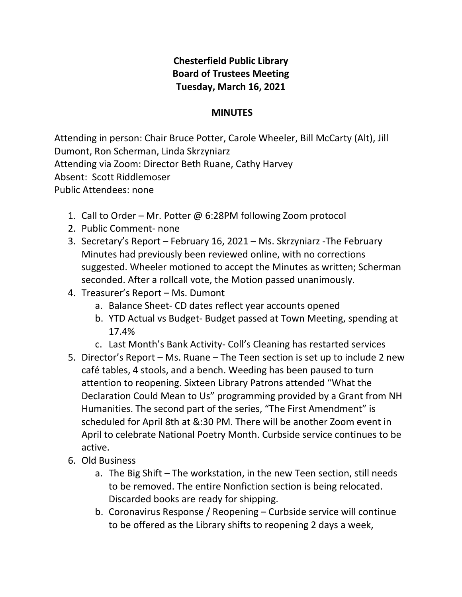## **Chesterfield Public Library Board of Trustees Meeting Tuesday, March 16, 2021**

## **MINUTES**

Attending in person: Chair Bruce Potter, Carole Wheeler, Bill McCarty (Alt), Jill Dumont, Ron Scherman, Linda Skrzyniarz Attending via Zoom: Director Beth Ruane, Cathy Harvey Absent: Scott Riddlemoser Public Attendees: none

- 1. Call to Order Mr. Potter @ 6:28PM following Zoom protocol
- 2. Public Comment- none
- 3. Secretary's Report February 16, 2021 Ms. Skrzyniarz -The February Minutes had previously been reviewed online, with no corrections suggested. Wheeler motioned to accept the Minutes as written; Scherman seconded. After a rollcall vote, the Motion passed unanimously.
- 4. Treasurer's Report Ms. Dumont
	- a. Balance Sheet- CD dates reflect year accounts opened
	- b. YTD Actual vs Budget- Budget passed at Town Meeting, spending at 17.4%
	- c. Last Month's Bank Activity- Coll's Cleaning has restarted services
- 5. Director's Report Ms. Ruane The Teen section is set up to include 2 new café tables, 4 stools, and a bench. Weeding has been paused to turn attention to reopening. Sixteen Library Patrons attended "What the Declaration Could Mean to Us" programming provided by a Grant from NH Humanities. The second part of the series, "The First Amendment" is scheduled for April 8th at &:30 PM. There will be another Zoom event in April to celebrate National Poetry Month. Curbside service continues to be active.
- 6. Old Business
	- a. The Big Shift The workstation, in the new Teen section, still needs to be removed. The entire Nonfiction section is being relocated. Discarded books are ready for shipping.
	- b. Coronavirus Response / Reopening Curbside service will continue to be offered as the Library shifts to reopening 2 days a week,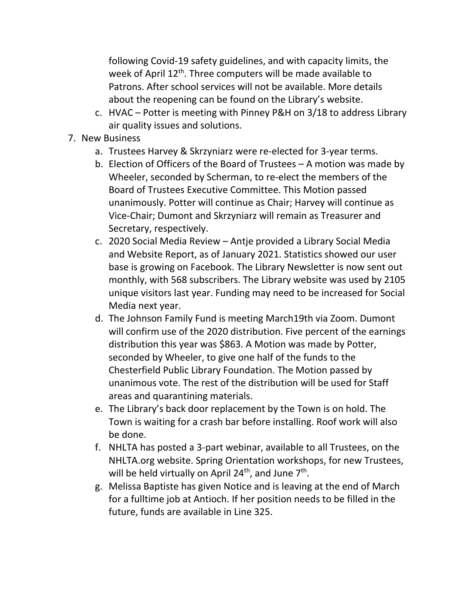following Covid-19 safety guidelines, and with capacity limits, the week of April 12<sup>th</sup>. Three computers will be made available to Patrons. After school services will not be available. More details about the reopening can be found on the Library's website.

- c. HVAC Potter is meeting with Pinney P&H on 3/18 to address Library air quality issues and solutions.
- 7. New Business
	- a. Trustees Harvey & Skrzyniarz were re-elected for 3-year terms.
	- b. Election of Officers of the Board of Trustees A motion was made by Wheeler, seconded by Scherman, to re-elect the members of the Board of Trustees Executive Committee. This Motion passed unanimously. Potter will continue as Chair; Harvey will continue as Vice-Chair; Dumont and Skrzyniarz will remain as Treasurer and Secretary, respectively.
	- c. 2020 Social Media Review Antje provided a Library Social Media and Website Report, as of January 2021. Statistics showed our user base is growing on Facebook. The Library Newsletter is now sent out monthly, with 568 subscribers. The Library website was used by 2105 unique visitors last year. Funding may need to be increased for Social Media next year.
	- d. The Johnson Family Fund is meeting March19th via Zoom. Dumont will confirm use of the 2020 distribution. Five percent of the earnings distribution this year was \$863. A Motion was made by Potter, seconded by Wheeler, to give one half of the funds to the Chesterfield Public Library Foundation. The Motion passed by unanimous vote. The rest of the distribution will be used for Staff areas and quarantining materials.
	- e. The Library's back door replacement by the Town is on hold. The Town is waiting for a crash bar before installing. Roof work will also be done.
	- f. NHLTA has posted a 3-part webinar, available to all Trustees, on the NHLTA.org website. Spring Orientation workshops, for new Trustees, will be held virtually on April 24<sup>th</sup>, and June 7<sup>th</sup>.
	- g. Melissa Baptiste has given Notice and is leaving at the end of March for a fulltime job at Antioch. If her position needs to be filled in the future, funds are available in Line 325.